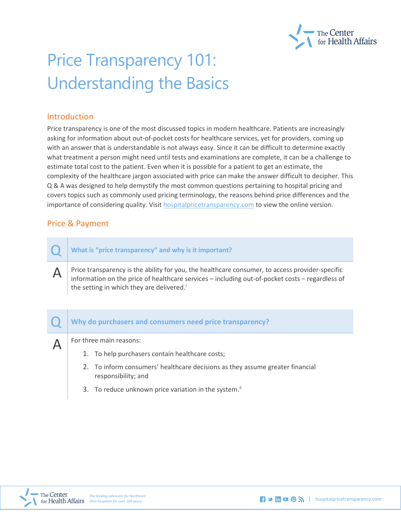

# Price Transparency 101: Understanding the Basics

#### Introduction

Price transparency is one of the most discussed topics in modern healthcare. Patients are increasingly asking for information about out-of-pocket costs for healthcare services, yet for providers, coming up with an answer that is understandable is not always easy. Since it can be difficult to determine exactly what treatment a person might need until tests and examinations are complete, it can be a challenge to estimate total cost to the patient. Even when it is possible for a patient to get an estimate, the complexity of the healthcare jargon associated with price can make the answer difficult to decipher. This Q & A was designed to help demystify the most common questions pertaining to hospital pricing and covers topics such as commonly used pricing terminology, the reasons behind price differences and the importance of considering quality. Visit [hospitalpricetransparency.com](https://www.neohospitals.org/FinanceAndReimbursement/Hospital-Price-Transparency.aspx) to view the online version.

## Price & Payment

Q **What is "price transparency" and why is it important?**

 $\Delta$  Price transparency is the ability for you, the healthcare consumer, to access provider-specific information on the price of healthcare services – including out-of-pocket costs − regardless of the sett[i](#page-7-0)ng in which they are delivered.<sup>i</sup>

#### Q **Why do purchasers and consumers need price transparency?**

 $\Delta$  | For three main reasons:

- 1. To help purchasers contain healthcare costs;
- 2. To inform consumers' healthcare decisions as they assume greater financial responsibility; and
- 3. To reduce unknown price variation in the system.<sup>[ii](#page-7-1)</sup>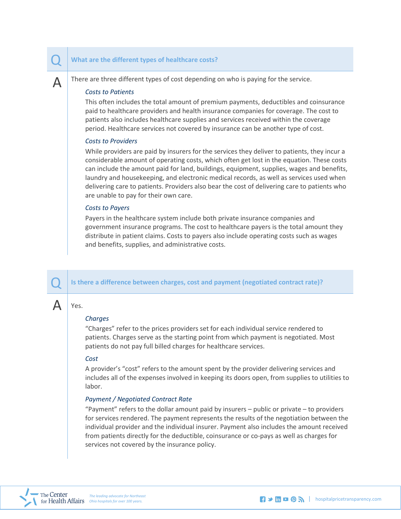#### Q **What are the different types of healthcare costs?**

 $\Delta$  There are three different types of cost depending on who is paying for the service.

#### *Costs to Patients*

This often includes the total amount of premium payments, deductibles and coinsurance paid to healthcare providers and health insurance companies for coverage. The cost to patients also includes healthcare supplies and services received within the coverage period. Healthcare services not covered by insurance can be another type of cost.

#### *Costs to Providers*

While providers are paid by insurers for the services they deliver to patients, they incur a considerable amount of operating costs, which often get lost in the equation. These costs can include the amount paid for land, buildings, equipment, supplies, wages and benefits, laundry and housekeeping, and electronic medical records, as well as services used when delivering care to patients. Providers also bear the cost of delivering care to patients who are unable to pay for their own care.

#### *Costs to Payers*

Payers in the healthcare system include both private insurance companies and government insurance programs. The cost to healthcare payers is the total amount they distribute in patient claims. Costs to payers also include operating costs such as wages and benefits, supplies, and administrative costs.

Is there a difference between charges, cost and payment (negotiated contract rate)?

## Yes.

#### *Charges*

"Charges" refer to the prices providers set for each individual service rendered to patients. Charges serve as the starting point from which payment is negotiated. Most patients do not pay full billed charges for healthcare services.

#### *Cost*

A provider's "cost" refers to the amount spent by the provider delivering services and includes all of the expenses involved in keeping its doors open, from supplies to utilities to labor.

#### *Payment / Negotiated Contract Rate*

"Payment" refers to the dollar amount paid by insurers – public or private – to providers for services rendered. The payment represents the results of the negotiation between the individual provider and the individual insurer. Payment also includes the amount received from patients directly for the deductible, coinsurance or co-pays as well as charges for services not covered by the insurance policy.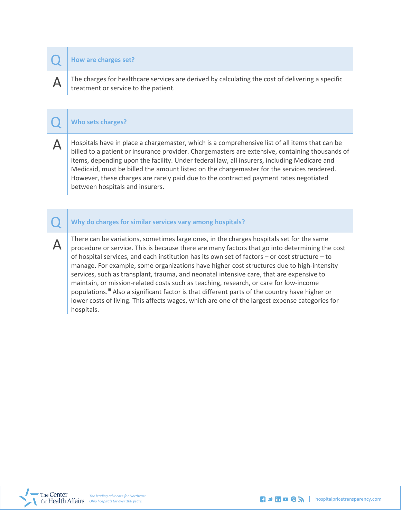#### Q **How are charges set?**

 $\mathbf{A}$  The charges for healthcare services are derived by calculating the cost of delivering a specific treatment or service to the patient.

#### Q **Who sets charges?**

 $\Delta$  | Hospitals have in place a chargemaster, which is a comprehensive list of all items that can be billed to a patient or insurance provider. Chargemasters are extensive, containing thousands of items, depending upon the facility. Under federal law, all insurers, including Medicare and Medicaid, must be billed the amount listed on the chargemaster for the services rendered. However, these charges are rarely paid due to the contracted payment rates negotiated between hospitals and insurers.

#### Q **Why do charges for similar services vary among hospitals?**

A  $\parallel$  There can be variations, sometimes large ones, in the charges hospitals set for the same<br>procedure or service. This is because there are many factors that go into determining the cost of hospital services, and each institution has its own set of factors – or cost structure – to manage. For example, some organizations have higher cost structures due to high-intensity services, such as transplant, trauma, and neonatal intensive care, that are expensive to maintain, or mission-related costs such as teaching, research, or care for low-income populations.<sup>ii</sup> Also a significant factor is that different parts of the country have higher or lower costs of living. This affects wages, which are one of the largest expense categories for hospitals.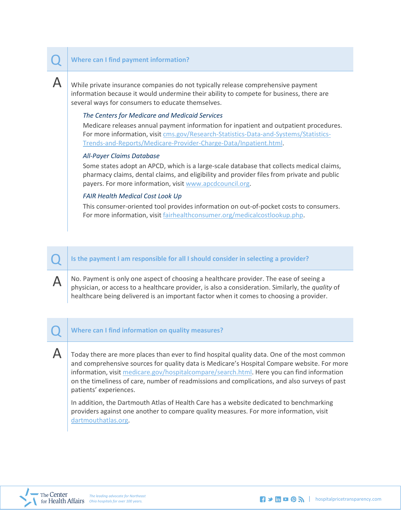#### Q **Where can I find payment information?**

 ${\sf A}\mid$  While private insurance companies do not typically release comprehensive payment information because it would undermine their ability to compete for business, there are several ways for consumers to educate themselves.

#### *The Centers for Medicare and Medicaid Services*

Medicare release[s annual payment information](http://www.cms.gov/Research-Statistics-Data-and-Systems/Statistics-Trends-and-Reports/Medicare-Provider-Charge-Data/Inpatient.html) for inpatient and outpatient procedures. For more information, visit [cms.gov/Research-Statistics-Data-and-Systems/Statistics-](http://www.cms.gov/Research-Statistics-Data-and-Systems/Statistics-Trends-and-Reports/Medicare-Provider-Charge-Data/Inpatient.html)[Trends-and-Reports/Medicare-Provider-Charge-Data/Inpatient.html.](http://www.cms.gov/Research-Statistics-Data-and-Systems/Statistics-Trends-and-Reports/Medicare-Provider-Charge-Data/Inpatient.html)

#### *All-Payer Claims Database*

Some states adopt an APCD, which is a large-scale database that collects medical claims, pharmacy claims, dental claims, and eligibility and provider files from private and public payers. For more information, visit [www.apcdcouncil.org.](http://www.apcdcouncil.org/)

#### *FAIR Health Medical Cost Look Up*

This [consumer-oriented tool](http://fairhealthconsumer.org/medicalcostlookup.php) provides information on out-of-pocket costs to consumers. For more information, visit [fairhealthconsumer.org/medicalcostlookup.php.](http://fairhealthconsumer.org/medicalcostlookup.php)

#### Is the payment I am responsible for all I should consider in selecting a provider?

 $\mathbf{\Delta}$  No. Payment is only one aspect of choosing a healthcare provider. The ease of seeing a physician, or access to a healthcare provider, is also a consideration. Similarly, the *quality* of healthcare being delivered is an important factor when it comes to choosing a provider.

#### Q **Where can I find information on quality measures?**

 $\mathsf A$  Today there are more places than ever to find hospital quality data. One of the most common and comprehensive sources for quality data is [Medicare's Hospital Compare website.](http://www.medicare.gov/hospitalcompare/search.html) For more information, visi[t medicare.gov/hospitalcompare/search.html.](http://www.medicare.gov/hospitalcompare/search.html) Here you can find information on the timeliness of care, number of readmissions and complications, and also surveys of past patients' experiences.

In addition, th[e Dartmouth Atlas of Health Care](http://www.dartmouthatlas.org/) has a website dedicated to benchmarking providers against one another to compare quality measures. For more information, visit [dartmouthatlas.org.](http://www.dartmouthatlas.org/)

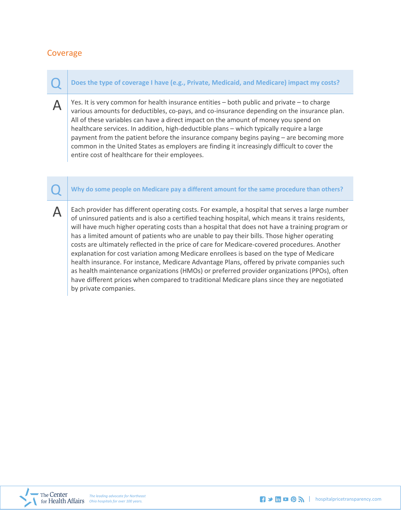## Coverage

Q **Does the type of coverage I have (e.g., Private, Medicaid, and Medicare) impact my costs?**

 $\Delta$  Yes. It is very common for health insurance entities – both public and private – to charge various amounts for deductibles, co-pays, and co-insurance depending on the insurance plan. All of these variables can have a direct impact on the amount of money you spend on healthcare services. In addition, high-deductible plans – which typically require a large payment from the patient before the insurance company begins paying – are becoming more common in the United States as employers are finding it increasingly difficult to cover the entire cost of healthcare for their employees.

Q **Why do some people on Medicare pay a different amount for the same procedure than others?**

 $\Delta$  | Each provider has different operating costs. For example, a hospital that serves a large number of uninsured patients and is also a certified teaching hospital, which means it trains residents, will have much higher operating costs than a hospital that does not have a training program or has a limited amount of patients who are unable to pay their bills. Those higher operating costs are ultimately reflected in the price of care for Medicare-covered procedures. Another explanation for cost variation among Medicare enrollees is based on the type of Medicare health insurance. For instance, Medicare Advantage Plans, offered by private companies such as health maintenance organizations (HMOs) or preferred provider organizations (PPOs), often have different prices when compared to traditional Medicare plans since they are negotiated by private companies.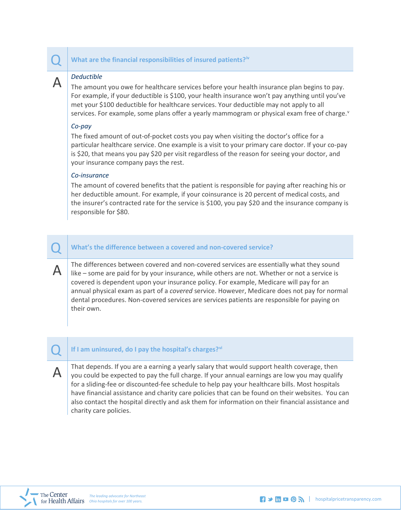#### Q **What are the financial responsibilities of insured patients?[iv](#page-7-3)**

A *Deductible*<br>The amount you owe for healthcare services before your health insurance plan begins to pay. For example, if your deductible is \$100, your health insurance won't pay anything until you've met your \$100 deductible for healthcare services. Your deductible may not apply to all services. For example, some plans offer a yearly mammogram or physical exam free of charge. $v$ 

#### *Co-pay*

The fixed amount of out-of-pocket costs you pay when visiting the doctor's office for a particular healthcare service. One example is a visit to your primary care doctor. If your co-pay is \$20, that means you pay \$20 per visit regardless of the reason for seeing your doctor, and your insurance company pays the rest.

#### *Co-insurance*

The amount of covered benefits that the patient is responsible for paying after reaching his or her deductible amount. For example, if your coinsurance is 20 percent of medical costs, and the insurer's contracted rate for the service is \$100, you pay \$20 and the insurance company is responsible for \$80.

#### Q **What's the difference between a covered and non-covered service?**

A  $\parallel$  The differences between covered and non-covered services are essentially what they sound like – some are paid for by your insurance, while others are not. Whether or not a service is covered is dependent upon your insurance policy. For example, Medicare will pay for an annual physical exam as part of a *covered* service. However, Medicare does not pay for normal dental procedures. Non-covered services are services patients are responsible for paying on their own.

## Q **If I am uninsured, do I pay the hospital's charges?[vi](#page-7-5)**

A  $\parallel$  That depends. If you are a earning a yearly salary that would support health coverage, then you could be expected to pay the full charge. If your annual earnings are low you may qualify for a sliding-fee or discounted-fee schedule to help pay your healthcare bills. Most hospitals have financial assistance and charity care policies that can be found on their websites. You can also contact the hospital directly and ask them for information on their financial assistance and charity care policies.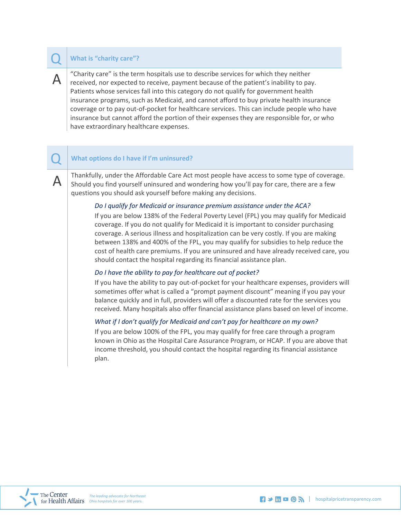#### Q **What is "charity care"?**

 $A \mid$  "Charity care" is the term hospitals use to describe services for which they neither received, nor expected to receive, payment because of the patient's inability to pay. Patients whose services fall into this category do not qualify for government health insurance programs, such as Medicaid, and cannot afford to buy private health insurance coverage or to pay out-of-pocket for healthcare services. This can include people who have insurance but cannot afford the portion of their expenses they are responsible for, or who have extraordinary healthcare expenses.

#### Q **What options do I have if I'm uninsured?**

Thankfully, under the Affordable Care Act most people have access to some type of coverage. Should you find yourself uninsured and wondering how you'll pay for care, there are a few questions you should ask yourself before making any decisions.

#### *Do I qualify for Medicaid or insurance premium assistance under the ACA?*

If you are below 138% of the Federal Poverty Level (FPL) you may qualify for Medicaid coverage. If you do not qualify for Medicaid it is important to consider purchasing coverage. A serious illness and hospitalization can be very costly. If you are making between 138% and 400% of the FPL, you may qualify for subsidies to help reduce the cost of health care premiums. If you are uninsured and have already received care, you should contact the hospital regarding its financial assistance plan.

#### *Do I have the ability to pay for healthcare out of pocket?*

If you have the ability to pay out-of-pocket for your healthcare expenses, providers will sometimes offer what is called a "prompt payment discount" meaning if you pay your balance quickly and in full, providers will offer a discounted rate for the services you received. Many hospitals also offer financial assistance plans based on level of income.

#### *What if I don't qualify for Medicaid and can't pay for healthcare on my own?*

If you are below 100% of the FPL, you may qualify for free care through a program known in Ohio as the Hospital Care Assurance Program, or HCAP. If you are above that income threshold, you should contact the hospital regarding its financial assistance plan.



The leading advocate for Northeast **The leading advocate for Northeast The leading advocate for Northeast The leading advocate for Northeast** *The leading advocate for Northeast* **<b>***The leading advocate for Northeast*